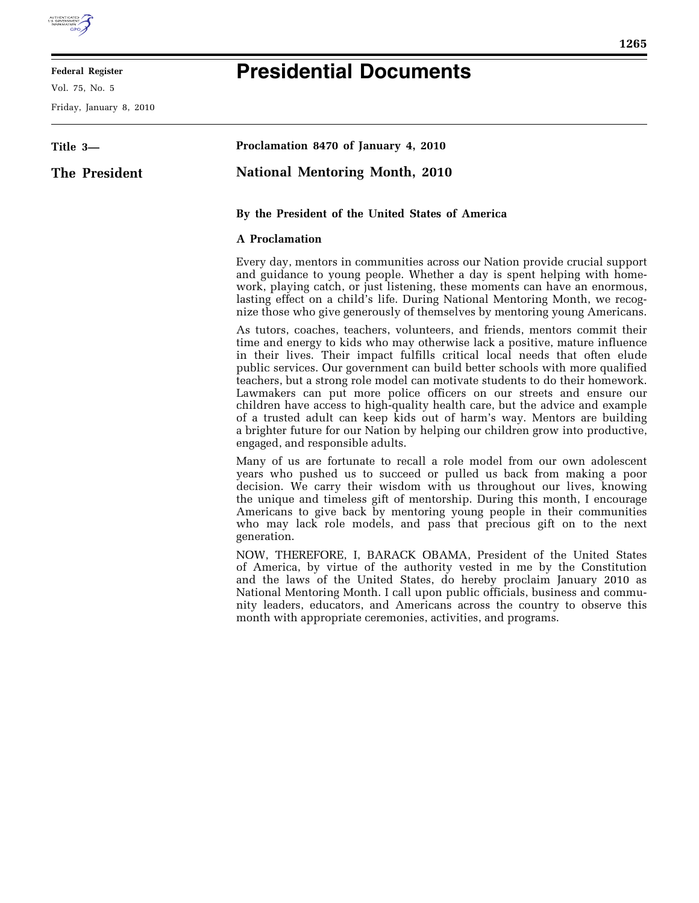

E

## **Federal Register**

Vol. 75, No. 5

Friday, January 8, 2010

## **Presidential Documents**

| Title 3—      | Proclamation 8470 of January 4, 2010                                                                                                                                                                                                                                                                                                                                                                                                                                                                                                                                                                                                                                                                                                                                 |
|---------------|----------------------------------------------------------------------------------------------------------------------------------------------------------------------------------------------------------------------------------------------------------------------------------------------------------------------------------------------------------------------------------------------------------------------------------------------------------------------------------------------------------------------------------------------------------------------------------------------------------------------------------------------------------------------------------------------------------------------------------------------------------------------|
| The President | <b>National Mentoring Month, 2010</b>                                                                                                                                                                                                                                                                                                                                                                                                                                                                                                                                                                                                                                                                                                                                |
|               | By the President of the United States of America                                                                                                                                                                                                                                                                                                                                                                                                                                                                                                                                                                                                                                                                                                                     |
|               | <b>A</b> Proclamation                                                                                                                                                                                                                                                                                                                                                                                                                                                                                                                                                                                                                                                                                                                                                |
|               | Every day, mentors in communities across our Nation provide crucial support<br>and guidance to young people. Whether a day is spent helping with home-<br>work, playing catch, or just listening, these moments can have an enormous,<br>lasting effect on a child's life. During National Mentoring Month, we recog-<br>nize those who give generously of themselves by mentoring young Americans.                                                                                                                                                                                                                                                                                                                                                                  |
|               | As tutors, coaches, teachers, volunteers, and friends, mentors commit their<br>time and energy to kids who may otherwise lack a positive, mature influence<br>in their lives. Their impact fulfills critical local needs that often elude<br>public services. Our government can build better schools with more qualified<br>teachers, but a strong role model can motivate students to do their homework.<br>Lawmakers can put more police officers on our streets and ensure our<br>children have access to high-quality health care, but the advice and example<br>of a trusted adult can keep kids out of harm's way. Mentors are building<br>a brighter future for our Nation by helping our children grow into productive,<br>engaged, and responsible adults. |
|               | Many of us are fortunate to recall a role model from our own adolescent<br>years who pushed us to succeed or pulled us back from making a poor<br>decision. We carry their wisdom with us throughout our lives, knowing<br>the unique and timeless gift of mentorship. During this month, I encourage<br>Americans to give back by mentoring young people in their communities<br>who may lack role models, and pass that precious gift on to the next<br>generation.                                                                                                                                                                                                                                                                                                |
|               | NOW, THEREFORE, I, BARACK OBAMA, President of the United States<br>of America, by virtue of the authority vested in me by the Constitution<br>and the laws of the United States, do hereby proclaim January 2010 as<br>National Mentoring Month. I call upon public officials, business and commu-<br>nity leaders, educators, and Americans across the country to observe this<br>month with appropriate ceremonies, activities, and programs.                                                                                                                                                                                                                                                                                                                      |
|               |                                                                                                                                                                                                                                                                                                                                                                                                                                                                                                                                                                                                                                                                                                                                                                      |